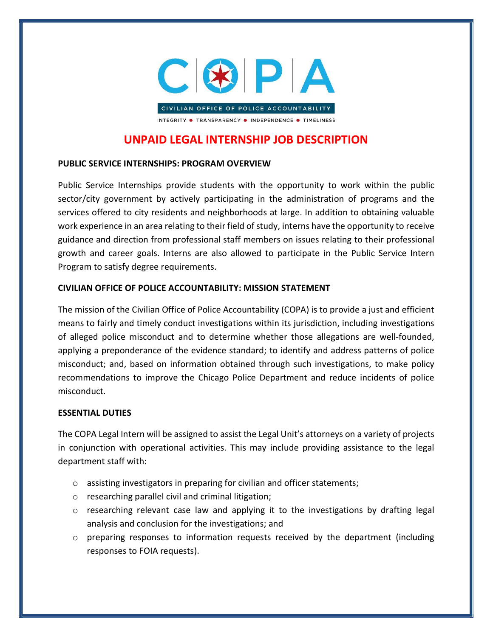

# UNPAID LEGAL INTERNSHIP JOB DESCRIPTION

## PUBLIC SERVICE INTERNSHIPS: PROGRAM OVERVIEW

Public Service Internships provide students with the opportunity to work within the public sector/city government by actively participating in the administration of programs and the services offered to city residents and neighborhoods at large. In addition to obtaining valuable work experience in an area relating to their field of study, interns have the opportunity to receive guidance and direction from professional staff members on issues relating to their professional growth and career goals. Interns are also allowed to participate in the Public Service Intern Program to satisfy degree requirements.

## CIVILIAN OFFICE OF POLICE ACCOUNTABILITY: MISSION STATEMENT

The mission of the Civilian Office of Police Accountability (COPA) is to provide a just and efficient means to fairly and timely conduct investigations within its jurisdiction, including investigations of alleged police misconduct and to determine whether those allegations are well-founded, applying a preponderance of the evidence standard; to identify and address patterns of police misconduct; and, based on information obtained through such investigations, to make policy recommendations to improve the Chicago Police Department and reduce incidents of police misconduct.

### ESSENTIAL DUTIES

The COPA Legal Intern will be assigned to assist the Legal Unit's attorneys on a variety of projects in conjunction with operational activities. This may include providing assistance to the legal department staff with:

- o assisting investigators in preparing for civilian and officer statements;
- o researching parallel civil and criminal litigation;
- $\circ$  researching relevant case law and applying it to the investigations by drafting legal analysis and conclusion for the investigations; and
- $\circ$  preparing responses to information requests received by the department (including responses to FOIA requests).